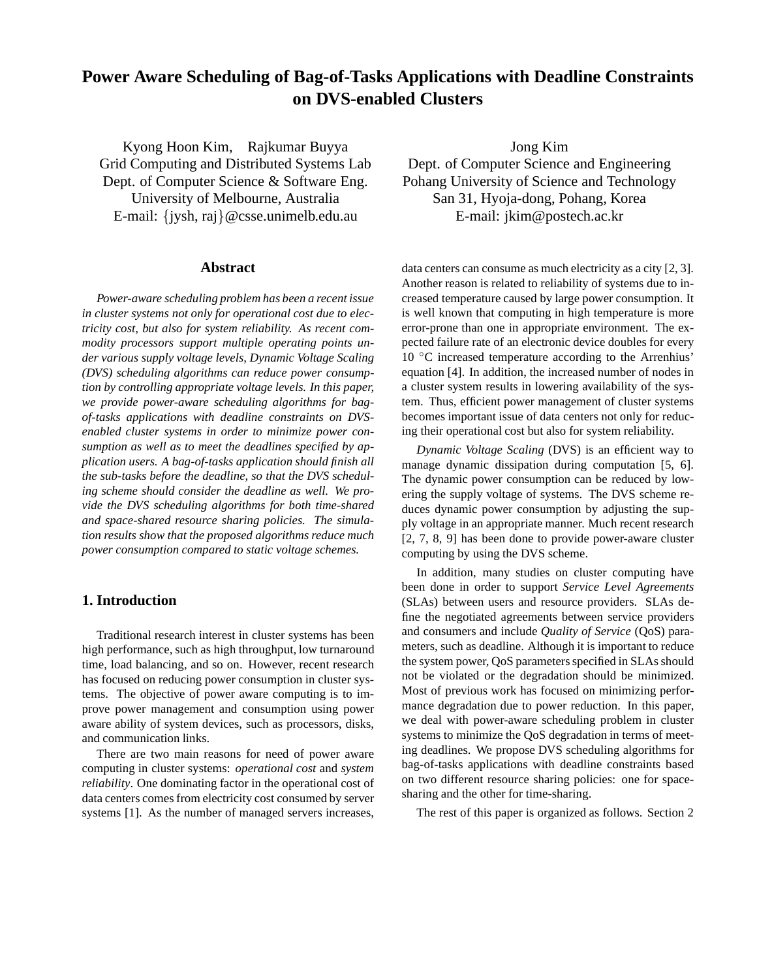# **Power Aware Scheduling of Bag-of-Tasks Applications with Deadline Constraints on DVS-enabled Clusters**

Kyong Hoon Kim, Rajkumar Buyya Grid Computing and Distributed Systems Lab Dept. of Computer Science & Software Eng. University of Melbourne, Australia E-mail: {jysh, raj}@csse.unimelb.edu.au

### **Abstract**

*Power-aware scheduling problem has been a recent issue in cluster systems not only for operational cost due to electricity cost, but also for system reliability. As recent commodity processors support multiple operating points under various supply voltage levels, Dynamic Voltage Scaling (DVS) scheduling algorithms can reduce power consumption by controlling appropriate voltage levels. In this paper, we provide power-aware scheduling algorithms for bagof-tasks applications with deadline constraints on DVSenabled cluster systems in order to minimize power consumption as well as to meet the deadlines specified by application users. A bag-of-tasks application should finish all the sub-tasks before the deadline, so that the DVS scheduling scheme should consider the deadline as well. We provide the DVS scheduling algorithms for both time-shared and space-shared resource sharing policies. The simulation results show that the proposed algorithms reduce much power consumption compared to static voltage schemes.*

# **1. Introduction**

Traditional research interest in cluster systems has been high performance, such as high throughput, low turnaround time, load balancing, and so on. However, recent research has focused on reducing power consumption in cluster systems. The objective of power aware computing is to improve power management and consumption using power aware ability of system devices, such as processors, disks, and communication links.

There are two main reasons for need of power aware computing in cluster systems: *operational cost* and *system reliability*. One dominating factor in the operational cost of data centers comes from electricity cost consumed by server systems [1]. As the number of managed servers increases,

Jong Kim Dept. of Computer Science and Engineering Pohang University of Science and Technology San 31, Hyoja-dong, Pohang, Korea E-mail: jkim@postech.ac.kr

data centers can consume as much electricity as a city [2, 3]. Another reason is related to reliability of systems due to increased temperature caused by large power consumption. It is well known that computing in high temperature is more error-prone than one in appropriate environment. The expected failure rate of an electronic device doubles for every 10 ◦C increased temperature according to the Arrenhius' equation [4]. In addition, the increased number of nodes in a cluster system results in lowering availability of the system. Thus, efficient power management of cluster systems becomes important issue of data centers not only for reducing their operational cost but also for system reliability.

*Dynamic Voltage Scaling* (DVS) is an efficient way to manage dynamic dissipation during computation [5, 6]. The dynamic power consumption can be reduced by lowering the supply voltage of systems. The DVS scheme reduces dynamic power consumption by adjusting the supply voltage in an appropriate manner. Much recent research [2, 7, 8, 9] has been done to provide power-aware cluster computing by using the DVS scheme.

In addition, many studies on cluster computing have been done in order to support *Service Level Agreements* (SLAs) between users and resource providers. SLAs define the negotiated agreements between service providers and consumers and include *Quality of Service* (QoS) parameters, such as deadline. Although it is important to reduce the system power, QoS parameters specified in SLAs should not be violated or the degradation should be minimized. Most of previous work has focused on minimizing performance degradation due to power reduction. In this paper, we deal with power-aware scheduling problem in cluster systems to minimize the QoS degradation in terms of meeting deadlines. We propose DVS scheduling algorithms for bag-of-tasks applications with deadline constraints based on two different resource sharing policies: one for spacesharing and the other for time-sharing.

The rest of this paper is organized as follows. Section 2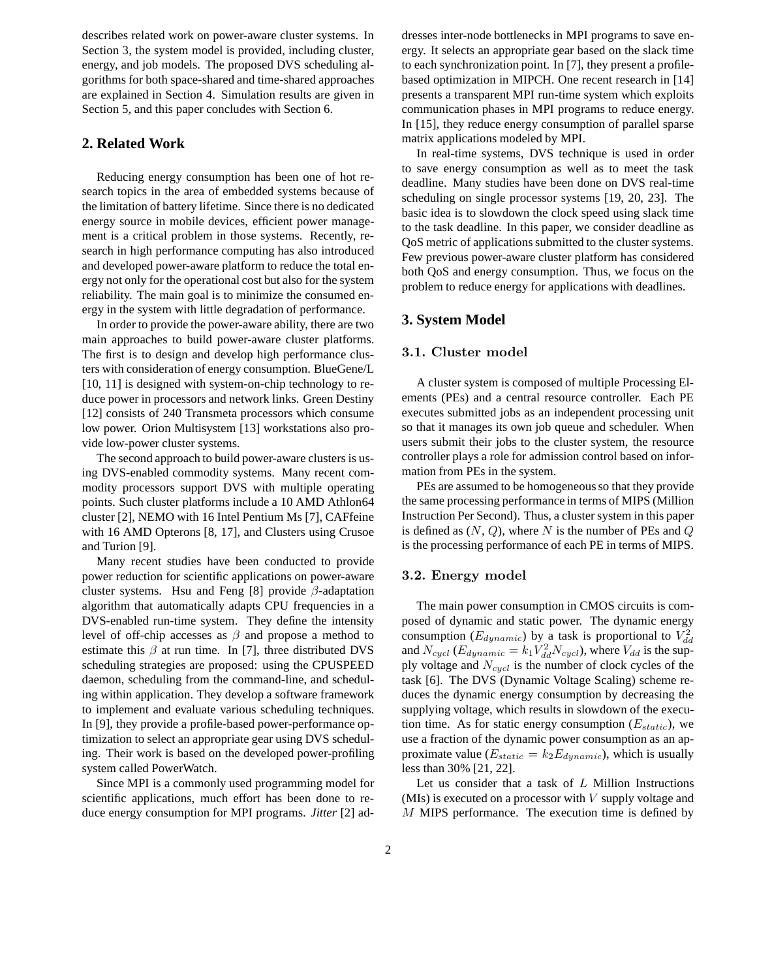describes related work on power-aware cluster systems. In Section 3, the system model is provided, including cluster, energy, and job models. The proposed DVS scheduling algorithms for both space-shared and time-shared approaches are explained in Section 4. Simulation results are given in Section 5, and this paper concludes with Section 6.

# **2. Related Work**

Reducing energy consumption has been one of hot research topics in the area of embedded systems because of the limitation of battery lifetime. Since there is no dedicated energy source in mobile devices, efficient power management is a critical problem in those systems. Recently, research in high performance computing has also introduced and developed power-aware platform to reduce the total energy not only for the operational cost but also for the system reliability. The main goal is to minimize the consumed energy in the system with little degradation of performance.

In order to provide the power-aware ability, there are two main approaches to build power-aware cluster platforms. The first is to design and develop high performance clusters with consideration of energy consumption. BlueGene/L [10, 11] is designed with system-on-chip technology to reduce power in processors and network links. Green Destiny [12] consists of 240 Transmeta processors which consume low power. Orion Multisystem [13] workstations also provide low-power cluster systems.

The second approach to build power-aware clusters is using DVS-enabled commodity systems. Many recent commodity processors support DVS with multiple operating points. Such cluster platforms include a 10 AMD Athlon64 cluster [2], NEMO with 16 Intel Pentium Ms [7], CAFfeine with 16 AMD Opterons [8, 17], and Clusters using Crusoe and Turion [9].

Many recent studies have been conducted to provide power reduction for scientific applications on power-aware cluster systems. Hsu and Feng [8] provide  $\beta$ -adaptation algorithm that automatically adapts CPU frequencies in a DVS-enabled run-time system. They define the intensity level of off-chip accesses as  $\beta$  and propose a method to estimate this  $\beta$  at run time. In [7], three distributed DVS scheduling strategies are proposed: using the CPUSPEED daemon, scheduling from the command-line, and scheduling within application. They develop a software framework to implement and evaluate various scheduling techniques. In [9], they provide a profile-based power-performance optimization to select an appropriate gear using DVS scheduling. Their work is based on the developed power-profiling system called PowerWatch.

Since MPI is a commonly used programming model for scientific applications, much effort has been done to reduce energy consumption for MPI programs. *Jitter* [2] addresses inter-node bottlenecks in MPI programs to save energy. It selects an appropriate gear based on the slack time to each synchronization point. In [7], they present a profilebased optimization in MIPCH. One recent research in [14] presents a transparent MPI run-time system which exploits communication phases in MPI programs to reduce energy. In [15], they reduce energy consumption of parallel sparse matrix applications modeled by MPI.

In real-time systems, DVS technique is used in order to save energy consumption as well as to meet the task deadline. Many studies have been done on DVS real-time scheduling on single processor systems [19, 20, 23]. The basic idea is to slowdown the clock speed using slack time to the task deadline. In this paper, we consider deadline as QoS metric of applications submitted to the cluster systems. Few previous power-aware cluster platform has considered both QoS and energy consumption. Thus, we focus on the problem to reduce energy for applications with deadlines.

# **3. System Model**

### 3.1. Cluster model

A cluster system is composed of multiple Processing Elements (PEs) and a central resource controller. Each PE executes submitted jobs as an independent processing unit so that it manages its own job queue and scheduler. When users submit their jobs to the cluster system, the resource controller plays a role for admission control based on information from PEs in the system.

PEs are assumed to be homogeneous so that they provide the same processing performance in terms of MIPS (Million Instruction Per Second). Thus, a cluster system in this paper is defined as  $(N, Q)$ , where N is the number of PEs and Q is the processing performance of each PE in terms of MIPS.

### 3.2. Energy model

The main power consumption in CMOS circuits is composed of dynamic and static power. The dynamic energy consumption ( $E_{dynamic}$ ) by a task is proportional to  $V_{dd}^2$ and  $N_{cycl}$  ( $E_{dynamic} = k_1 V_{dd}^2 N_{cycl}$ ), where  $V_{dd}$  is the supply voltage and  $N_{cycl}$  is the number of clock cycles of the task [6]. The DVS (Dynamic Voltage Scaling) scheme reduces the dynamic energy consumption by decreasing the supplying voltage, which results in slowdown of the execution time. As for static energy consumption  $(E_{static})$ , we use a fraction of the dynamic power consumption as an approximate value ( $E_{static} = k_2 E_{dynamic}$ ), which is usually less than 30% [21, 22].

Let us consider that a task of  $L$  Million Instructions (MIs) is executed on a processor with  $V$  supply voltage and M MIPS performance. The execution time is defined by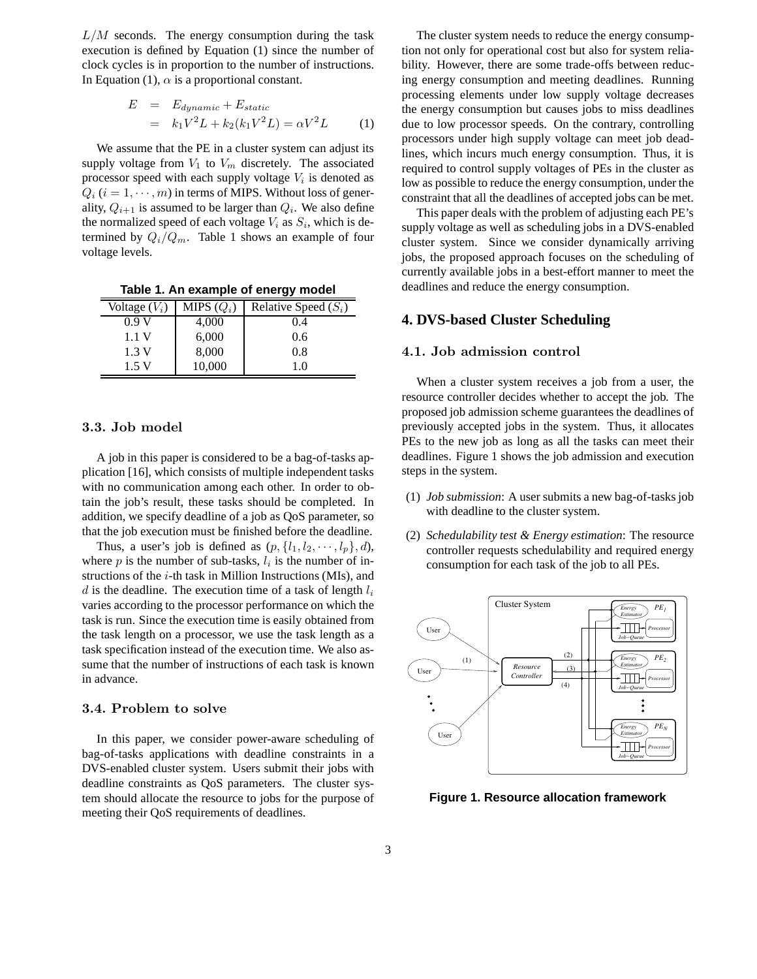$L/M$  seconds. The energy consumption during the task execution is defined by Equation (1) since the number of clock cycles is in proportion to the number of instructions. In Equation (1),  $\alpha$  is a proportional constant.

$$
E = E_{dynamic} + E_{static}
$$
  
=  $k_1 V^2 L + k_2 (k_1 V^2 L) = \alpha V^2 L$  (1)

We assume that the PE in a cluster system can adjust its supply voltage from  $V_1$  to  $V_m$  discretely. The associated processor speed with each supply voltage  $V_i$  is denoted as  $Q_i$  ( $i = 1, \dots, m$ ) in terms of MIPS. Without loss of generality,  $Q_{i+1}$  is assumed to be larger than  $Q_i$ . We also define the normalized speed of each voltage  $V_i$  as  $S_i$ , which is determined by  $Q_i/Q_m$ . Table 1 shows an example of four voltage levels.

**Table 1. An example of energy model**

| Voltage $(V_i)$ | MIPS $(Q_i)$ | Relative Speed $(S_i)$ |  |
|-----------------|--------------|------------------------|--|
| 0.9V            | 4,000        | 0.4                    |  |
| 1.1 V           | 6,000        | 0.6                    |  |
| 1.3V            | 8,000        | 0.8                    |  |
| 1.5 V           | 10,000       | 1.0                    |  |

### 3.3. Job model

A job in this paper is considered to be a bag-of-tasks application [16], which consists of multiple independent tasks with no communication among each other. In order to obtain the job's result, these tasks should be completed. In addition, we specify deadline of a job as QoS parameter, so that the job execution must be finished before the deadline.

Thus, a user's job is defined as  $(p, \{l_1, l_2, \dots, l_p\}, d)$ , where  $p$  is the number of sub-tasks,  $l_i$  is the number of instructions of the  $i$ -th task in Million Instructions (MIs), and d is the deadline. The execution time of a task of length  $l_i$ varies according to the processor performance on which the task is run. Since the execution time is easily obtained from the task length on a processor, we use the task length as a task specification instead of the execution time. We also assume that the number of instructions of each task is known in advance.

# 3.4. Problem to solve

In this paper, we consider power-aware scheduling of bag-of-tasks applications with deadline constraints in a DVS-enabled cluster system. Users submit their jobs with deadline constraints as QoS parameters. The cluster system should allocate the resource to jobs for the purpose of meeting their QoS requirements of deadlines.

The cluster system needs to reduce the energy consumption not only for operational cost but also for system reliability. However, there are some trade-offs between reducing energy consumption and meeting deadlines. Running processing elements under low supply voltage decreases the energy consumption but causes jobs to miss deadlines due to low processor speeds. On the contrary, controlling processors under high supply voltage can meet job deadlines, which incurs much energy consumption. Thus, it is required to control supply voltages of PEs in the cluster as low as possible to reduce the energy consumption, under the constraint that all the deadlines of accepted jobs can be met.

This paper deals with the problem of adjusting each PE's supply voltage as well as scheduling jobs in a DVS-enabled cluster system. Since we consider dynamically arriving jobs, the proposed approach focuses on the scheduling of currently available jobs in a best-effort manner to meet the deadlines and reduce the energy consumption.

# **4. DVS-based Cluster Scheduling**

### 4.1. Job admission control

When a cluster system receives a job from a user, the resource controller decides whether to accept the job. The proposed job admission scheme guarantees the deadlines of previously accepted jobs in the system. Thus, it allocates PEs to the new job as long as all the tasks can meet their deadlines. Figure 1 shows the job admission and execution steps in the system.

- (1) *Job submission*: A user submits a new bag-of-tasks job with deadline to the cluster system.
- (2) *Schedulability test & Energy estimation*: The resource controller requests schedulability and required energy consumption for each task of the job to all PEs.



**Figure 1. Resource allocation framework**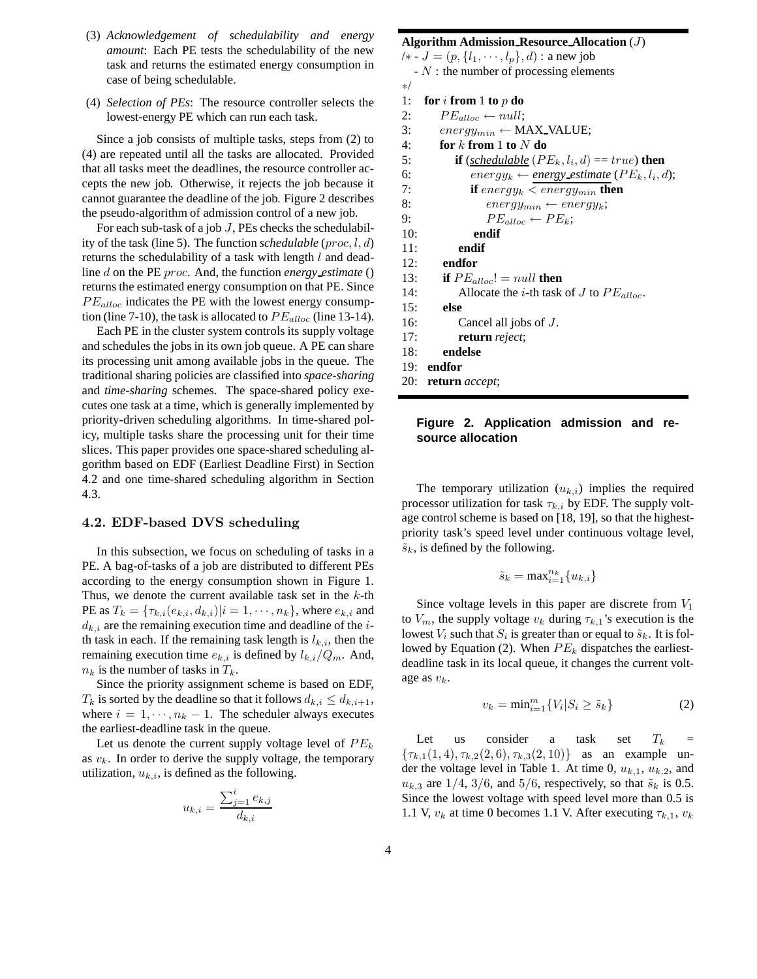- (3) *Acknowledgement of schedulability and energy amount*: Each PE tests the schedulability of the new task and returns the estimated energy consumption in case of being schedulable.
- (4) *Selection of PEs*: The resource controller selects the lowest-energy PE which can run each task.

Since a job consists of multiple tasks, steps from (2) to (4) are repeated until all the tasks are allocated. Provided that all tasks meet the deadlines, the resource controller accepts the new job. Otherwise, it rejects the job because it cannot guarantee the deadline of the job. Figure 2 describes the pseudo-algorithm of admission control of a new job.

For each sub-task of a job  $J$ , PEs checks the schedulability of the task (line 5). The function *schedulable* (proc, l, d) returns the schedulability of a task with length  $l$  and deadline d on the PE proc. And, the function *energy estimate* () returns the estimated energy consumption on that PE. Since  $PE_{alloc}$  indicates the PE with the lowest energy consumption (line 7-10), the task is allocated to  $PE_{alloc}$  (line 13-14).

Each PE in the cluster system controls its supply voltage and schedules the jobs in its own job queue. A PE can share its processing unit among available jobs in the queue. The traditional sharing policies are classified into *space-sharing* and *time-sharing* schemes. The space-shared policy executes one task at a time, which is generally implemented by priority-driven scheduling algorithms. In time-shared policy, multiple tasks share the processing unit for their time slices. This paper provides one space-shared scheduling algorithm based on EDF (Earliest Deadline First) in Section 4.2 and one time-shared scheduling algorithm in Section 4.3.

### 4.2. EDF-based DVS scheduling

In this subsection, we focus on scheduling of tasks in a PE. A bag-of-tasks of a job are distributed to different PEs according to the energy consumption shown in Figure 1. Thus, we denote the current available task set in the  $k$ -th PE as  $T_k = {\tau_{k,i}(e_{k,i}, d_{k,i}) | i = 1, \cdots, n_k}$ , where  $e_{k,i}$  and  $d_{k,i}$  are the remaining execution time and deadline of the *i*th task in each. If the remaining task length is  $l_{k,i}$ , then the remaining execution time  $e_{k,i}$  is defined by  $l_{k,i}/Q_m$ . And,  $n_k$  is the number of tasks in  $T_k$ .

Since the priority assignment scheme is based on EDF,  $T_k$  is sorted by the deadline so that it follows  $d_{k,i} \leq d_{k,i+1}$ , where  $i = 1, \dots, n_k - 1$ . The scheduler always executes the earliest-deadline task in the queue.

Let us denote the current supply voltage level of  $PE_k$ as  $v_k$ . In order to derive the supply voltage, the temporary utilization,  $u_{k,i}$ , is defined as the following.

$$
u_{k,i} = \frac{\sum_{j=1}^{i} e_{k,j}}{d_{k,i}}
$$

```
Algorithm Admission Resource Allocation (J)
/∗ - J = (p, \{l_1, \dots, l_p\}, d): a new job
  - N: the number of processing elements
∗/
1: for i from 1 to p do
2: PE_{alloc} \leftarrow null;3: energy_{min} \leftarrow MAX\_VALUE;4: for k from 1 to N do
5: if (<u>schedulable</u> (PE_k, l_i, d) == true) then
6: energy_k \leftarrow energy\_estimate (PE_k, l_i, d);7: if energy_k < energy_{min} then
8: energy_{min} \leftarrow energy_k;9: PE_{alloc} \leftarrow PE_{k};10: endif
11: endif
12: endfor
13: if PE_{alloc}! = null then
14: Allocate the i-th task of J to PE_{alloc}.
15: else
16: Cancel all jobs of J.
17: return reject;
```
- 18: **endelse**
- 19: **endfor**
- 20: **return** *accept*;

### **Figure 2. Application admission and resource allocation**

The temporary utilization  $(u_{k,i})$  implies the required processor utilization for task  $\tau_{k,i}$  by EDF. The supply voltage control scheme is based on [18, 19], so that the highestpriority task's speed level under continuous voltage level,  $\tilde{s}_k$ , is defined by the following.

$$
\tilde{s}_k = \max_{i=1}^{n_k} \{u_{k,i}\}
$$

Since voltage levels in this paper are discrete from  $V_1$ to  $V_m$ , the supply voltage  $v_k$  during  $\tau_{k,1}$ 's execution is the lowest  $V_i$  such that  $S_i$  is greater than or equal to  $\tilde{s}_k$ . It is followed by Equation (2). When  $PE_k$  dispatches the earliestdeadline task in its local queue, it changes the current voltage as  $v_k$ .

$$
v_k = \min_{i=1}^m \{ V_i | S_i \ge \tilde{s}_k \}
$$
 (2)

Let us consider a task set  $T_k$  =  ${\tau_{k,1}(1, 4), \tau_{k,2}(2, 6), \tau_{k,3}(2, 10)}$  as an example under the voltage level in Table 1. At time 0,  $u_{k,1}$ ,  $u_{k,2}$ , and  $u_{k,3}$  are 1/4, 3/6, and 5/6, respectively, so that  $\tilde{s}_k$  is 0.5. Since the lowest voltage with speed level more than 0.5 is 1.1 V,  $v_k$  at time 0 becomes 1.1 V. After executing  $\tau_{k,1}, v_k$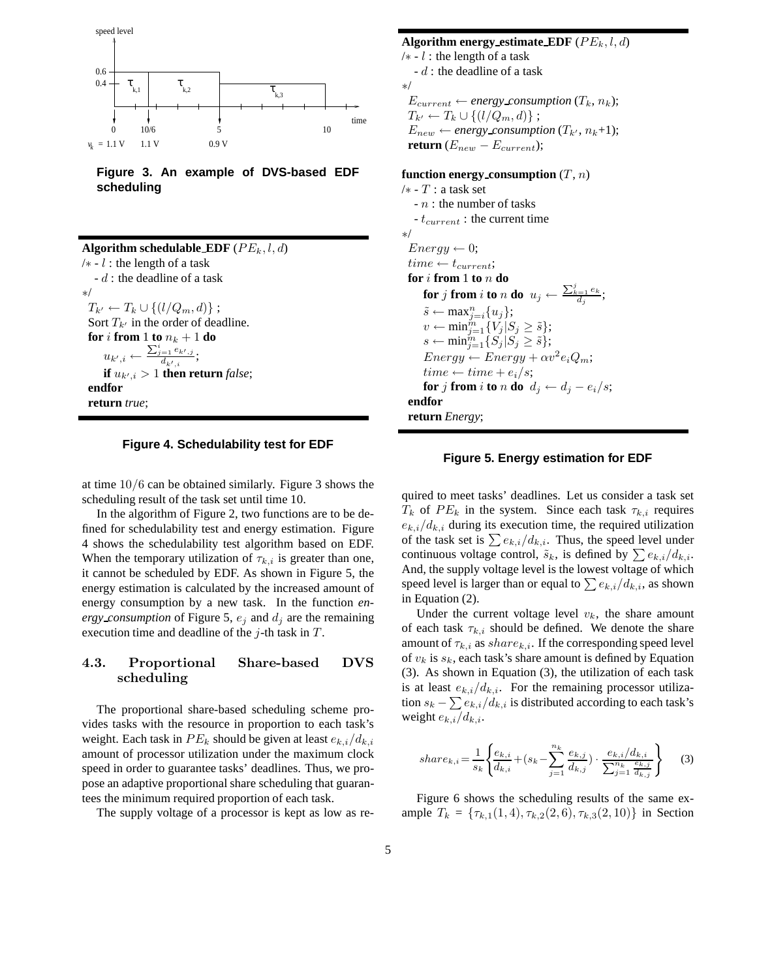

**Figure 3. An example of DVS-based EDF scheduling**

**Algorithm schedulable\_EDF** ( $PE_k, l, d$ )  $/* - l$ : the length of a task - d : the deadline of a task ∗/  $T_{k'} \leftarrow T_k \cup \{(l/Q_m, d)\};$ Sort  $T_{k'}$  in the order of deadline. **for** i **from** 1 **to**  $n_k + 1$  **do**  $u_{k',i} \leftarrow \frac{\sum_{j=1}^{i} e_{k',j}}{d_{i,t}}$  $\frac{1}{d_{k',i}}$ ; **if**  $u_{k',i} > 1$  **then return** *false*; **endfor return** *true*;

### **Figure 4. Schedulability test for EDF**

at time 10/6 can be obtained similarly. Figure 3 shows the scheduling result of the task set until time 10.

In the algorithm of Figure 2, two functions are to be defined for schedulability test and energy estimation. Figure 4 shows the schedulability test algorithm based on EDF. When the temporary utilization of  $\tau_{k,i}$  is greater than one, it cannot be scheduled by EDF. As shown in Figure 5, the energy estimation is calculated by the increased amount of energy consumption by a new task. In the function *energy consumption* of Figure 5,  $e_i$  and  $d_i$  are the remaining execution time and deadline of the  $j$ -th task in  $T$ .

### 4.3. Proportional Share-based DVS scheduling

The proportional share-based scheduling scheme provides tasks with the resource in proportion to each task's weight. Each task in  $PE_k$  should be given at least  $e_{k,i}/d_{k,i}$ amount of processor utilization under the maximum clock speed in order to guarantee tasks' deadlines. Thus, we propose an adaptive proportional share scheduling that guarantees the minimum required proportion of each task.

The supply voltage of a processor is kept as low as re-

### **Algorithm energy estimate EDF**  $(PE_k, l, d)$

 $/* - l$ : the length of a task  $-d$ : the deadline of a task ∗/  $E_{current} \leftarrow energy consumption (T_k, n_k);$  $T_{k'} \leftarrow T_k \cup \{(l/Q_m, d)\};$  $E_{new} \leftarrow energy_{consumption}(T_{k'}, n_{k}+1);$ **return**  $(E_{new} - E_{current});$ 

### **function energy consumption**  $(T, n)$

 $/*$  -  $T$  : a task set  $- n$  : the number of tasks -  $t_{current}$  : the current time ∗/  $Energy \leftarrow 0;$  $time \leftarrow t_{current};$ **for** i **from** 1 **to** n **do for**  $j$  **from**  $i$  **to**  $n$  **do**  $u_j \leftarrow \frac{\sum_{k=1}^j e_k}{d_j};$  $\tilde{s} \leftarrow \max_{j=i}^{n} \{u_j\};$  $v \leftarrow \min_{j=1}^{\tilde{m}} \{V_j | S_j \geq \tilde{s}\};$  $s \leftarrow \min_{j=1}^{m} \{ S_j | S_j \geq \tilde{s} \};$  $Energy \leftarrow Energy + \alpha v^2 e_i Q_m;$  $time \leftarrow time + e_i/s;$ **for** j **from** i **to** n **do**  $d_j \leftarrow d_j - e_i/s;$ **endfor return** *Energy*;

### **Figure 5. Energy estimation for EDF**

quired to meet tasks' deadlines. Let us consider a task set  $T_k$  of  $PE_k$  in the system. Since each task  $\tau_{k,i}$  requires  $e_{k,i}/d_{k,i}$  during its execution time, the required utilization of the task set is  $\sum e_{k,i}/d_{k,i}$ . Thus, the speed level under continuous voltage control,  $\tilde{s}_k$ , is defined by  $\sum e_{k,i}/d_{k,i}$ . And, the supply voltage level is the lowest voltage of which speed level is larger than or equal to  $\sum e_{k,i}/d_{k,i}$ , as shown in Equation (2).

Under the current voltage level  $v_k$ , the share amount of each task  $\tau_{k,i}$  should be defined. We denote the share amount of  $\tau_{k,i}$  as  $share_{k,i}$ . If the corresponding speed level of  $v_k$  is  $s_k$ , each task's share amount is defined by Equation (3). As shown in Equation (3), the utilization of each task is at least  $e_{k,i}/d_{k,i}$ . For the remaining processor utilization  $s_k - \sum e_{k,i}/d_{k,i}$  is distributed according to each task's weight  $e_{k,i}/d_{k,i}$ .

$$
share_{k,i} = \frac{1}{s_k} \left\{ \frac{e_{k,i}}{d_{k,i}} + (s_k - \sum_{j=1}^{n_k} \frac{e_{k,j}}{d_{k,j}}) \cdot \frac{e_{k,i}/d_{k,i}}{\sum_{j=1}^{n_k} \frac{e_{k,j}}{d_{k,j}}} \right\}
$$
(3)

Figure 6 shows the scheduling results of the same example  $T_k = \{\tau_{k,1}(1,4), \tau_{k,2}(2,6), \tau_{k,3}(2,10)\}\$ in Section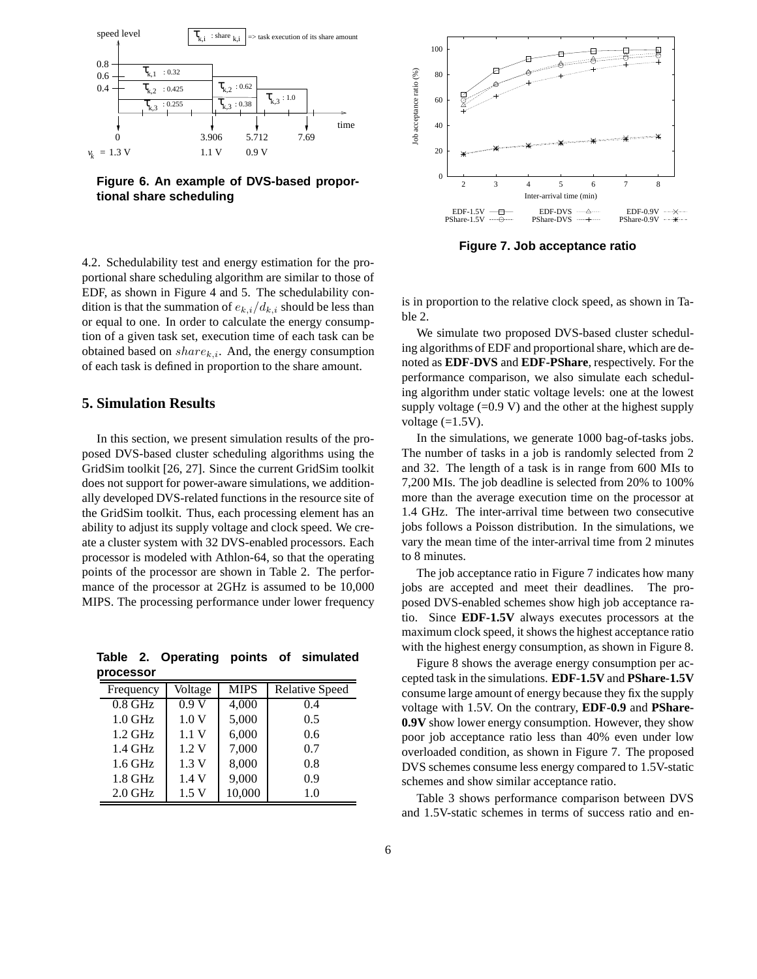

**Figure 6. An example of DVS-based proportional share scheduling**



**Figure 7. Job acceptance ratio**

4.2. Schedulability test and energy estimation for the proportional share scheduling algorithm are similar to those of EDF, as shown in Figure 4 and 5. The schedulability condition is that the summation of  $e_{k,i}/d_{k,i}$  should be less than or equal to one. In order to calculate the energy consumption of a given task set, execution time of each task can be obtained based on  $share_{k,i}$ . And, the energy consumption of each task is defined in proportion to the share amount.

### **5. Simulation Results**

In this section, we present simulation results of the proposed DVS-based cluster scheduling algorithms using the GridSim toolkit [26, 27]. Since the current GridSim toolkit does not support for power-aware simulations, we additionally developed DVS-related functions in the resource site of the GridSim toolkit. Thus, each processing element has an ability to adjust its supply voltage and clock speed. We create a cluster system with 32 DVS-enabled processors. Each processor is modeled with Athlon-64, so that the operating points of the processor are shown in Table 2. The performance of the processor at 2GHz is assumed to be 10,000 MIPS. The processing performance under lower frequency

**Table 2. Operating points of simulated processor**

| Frequency | Voltage | <b>MIPS</b> | <b>Relative Speed</b> |
|-----------|---------|-------------|-----------------------|
| $0.8$ GHz | 0.9V    | 4,000       | 0.4                   |
| $1.0$ GHz | 1.0V    | 5,000       | 0.5                   |
| $1.2$ GHz | 1.1V    | 6,000       | 0.6                   |
| $1.4$ GHz | 1.2V    | 7,000       | 0.7                   |
| $1.6$ GHz | 1.3V    | 8,000       | 0.8                   |
| $1.8$ GHz | 1.4V    | 9,000       | 0.9                   |
| $2.0$ GHz | 1.5V    | 10,000      | 1.0                   |

is in proportion to the relative clock speed, as shown in Table 2.

We simulate two proposed DVS-based cluster scheduling algorithms of EDF and proportional share, which are denoted as **EDF-DVS** and **EDF-PShare**, respectively. For the performance comparison, we also simulate each scheduling algorithm under static voltage levels: one at the lowest supply voltage  $(=0.9 \text{ V})$  and the other at the highest supply voltage  $(=1.5V)$ .

In the simulations, we generate 1000 bag-of-tasks jobs. The number of tasks in a job is randomly selected from 2 and 32. The length of a task is in range from 600 MIs to 7,200 MIs. The job deadline is selected from 20% to 100% more than the average execution time on the processor at 1.4 GHz. The inter-arrival time between two consecutive jobs follows a Poisson distribution. In the simulations, we vary the mean time of the inter-arrival time from 2 minutes to 8 minutes.

The job acceptance ratio in Figure 7 indicates how many jobs are accepted and meet their deadlines. The proposed DVS-enabled schemes show high job acceptance ratio. Since **EDF-1.5V** always executes processors at the maximum clock speed, it shows the highest acceptance ratio with the highest energy consumption, as shown in Figure 8.

Figure 8 shows the average energy consumption per accepted task in the simulations. **EDF-1.5V** and **PShare-1.5V** consume large amount of energy because they fix the supply voltage with 1.5V. On the contrary, **EDF-0.9** and **PShare-0.9V** show lower energy consumption. However, they show poor job acceptance ratio less than 40% even under low overloaded condition, as shown in Figure 7. The proposed DVS schemes consume less energy compared to 1.5V-static schemes and show similar acceptance ratio.

Table 3 shows performance comparison between DVS and 1.5V-static schemes in terms of success ratio and en-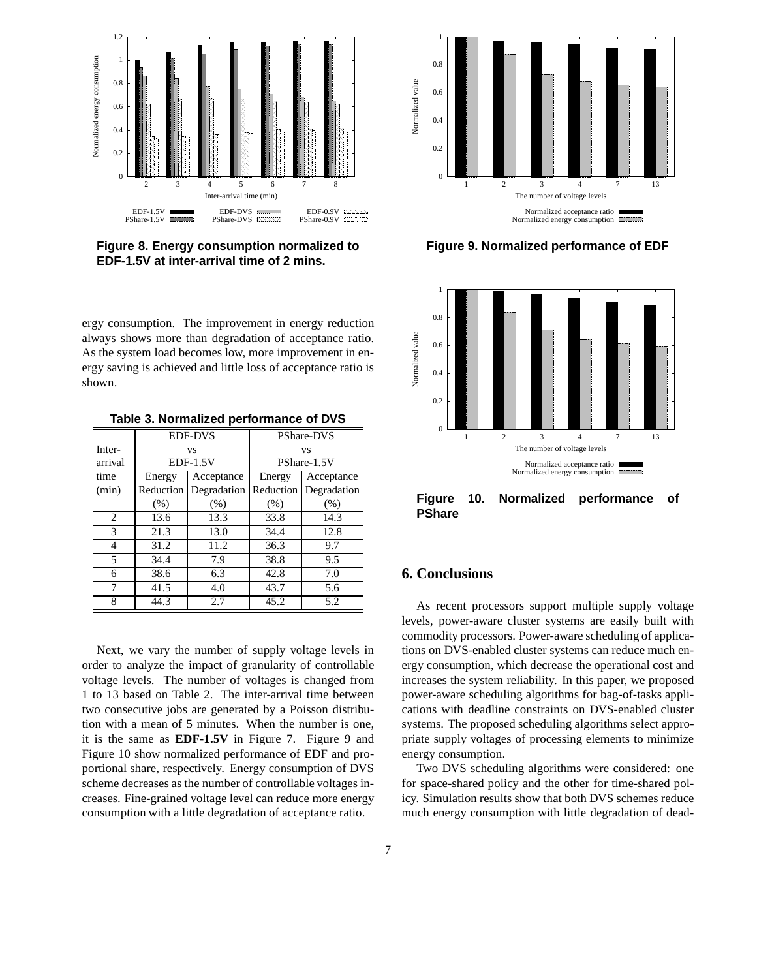

**Figure 8. Energy consumption normalized to EDF-1.5V at inter-arrival time of 2 mins.**



**Figure 9. Normalized performance of EDF**



**Figure 10. Normalized performance of PShare**

# ergy consumption. The improvement in energy reduction always shows more than degradation of acceptance ratio. As the system load becomes low, more improvement in energy saving is achieved and little loss of acceptance ratio is shown.

|         |            | <b>EDF-DVS</b>          | <b>PShare-DVS</b> |             |
|---------|------------|-------------------------|-------------------|-------------|
| Inter-  |            | VS                      | VS                |             |
| arrival | $EDF-1.5V$ |                         | PShare-1.5V       |             |
| time    | Energy     | Acceptance              | Energy            | Acceptance  |
| (min)   | Reduction  | Degradation   Reduction |                   | Degradation |
|         | (% )       | (% )                    | (% )              | (% )        |
| 2       | 13.6       | 13.3                    | 33.8              | 14.3        |
| 3       | 21.3       | 13.0                    | 34.4              | 12.8        |
| 4       | 31.2       | 11.2                    | 36.3              | 9.7         |
| 5       | 34.4       | 7.9                     | 38.8              | 9.5         |
| 6       | 38.6       | 6.3                     | 42.8              | 7.0         |
| 7       | 41.5       | 4.0                     | 43.7              | 5.6         |
| 8       | 44.3       | 2.7                     | 45.2              | 5.2         |

**Table 3. Normalized performance of DVS**

Next, we vary the number of supply voltage levels in order to analyze the impact of granularity of controllable voltage levels. The number of voltages is changed from 1 to 13 based on Table 2. The inter-arrival time between two consecutive jobs are generated by a Poisson distribution with a mean of 5 minutes. When the number is one, it is the same as **EDF-1.5V** in Figure 7. Figure 9 and Figure 10 show normalized performance of EDF and proportional share, respectively. Energy consumption of DVS scheme decreases as the number of controllable voltages increases. Fine-grained voltage level can reduce more energy consumption with a little degradation of acceptance ratio.

# **6. Conclusions**

As recent processors support multiple supply voltage levels, power-aware cluster systems are easily built with commodity processors. Power-aware scheduling of applications on DVS-enabled cluster systems can reduce much energy consumption, which decrease the operational cost and increases the system reliability. In this paper, we proposed power-aware scheduling algorithms for bag-of-tasks applications with deadline constraints on DVS-enabled cluster systems. The proposed scheduling algorithms select appropriate supply voltages of processing elements to minimize energy consumption.

Two DVS scheduling algorithms were considered: one for space-shared policy and the other for time-shared policy. Simulation results show that both DVS schemes reduce much energy consumption with little degradation of dead